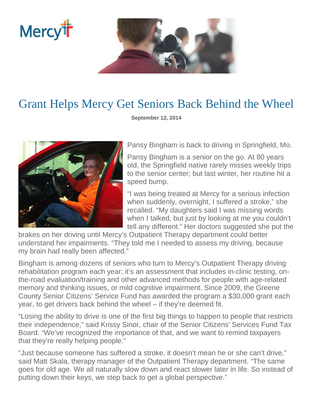

## Grant Helps Mercy Get Seniors Back Behind the Wheel

**September 12, 2014** 



**Mercy<sup>i</sup>i** 

Pansy Bingham is back to driving in Springfield, Mo.

Pansy Bingham is a senior on the go. At 80 years old, the Springfield native rarely misses weekly trips to the senior center; but last winter, her routine hit a speed bump.

"I was being treated at Mercy for a serious infection when suddenly, overnight, I suffered a stroke," she recalled. "My daughters said I was missing words when I talked, but just by looking at me you couldn't tell any different." Her doctors suggested she put the

brakes on her driving until Mercy's Outpatient Therapy department could better understand her impairments. "They told me I needed to assess my driving, because my brain had really been affected."

Bingham is among dozens of seniors who turn to Mercy's Outpatient Therapy driving rehabilitation program each year; it's an assessment that includes in-clinic testing, onthe-road evaluation/training and other advanced methods for people with age-related memory and thinking issues, or mild cognitive impairment. Since 2009, the Greene County Senior Citizens' Service Fund has awarded the program a \$30,000 grant each year, to get drivers back behind the wheel – if they're deemed fit.

"Losing the ability to drive is one of the first big things to happen to people that restricts their independence," said Krissy Sinor, chair of the Senior Citizens' Services Fund Tax Board. "We've recognized the importance of that, and we want to remind taxpayers that they're really helping people."

"Just because someone has suffered a stroke, it doesn't mean he or she can't drive," said Matt Skala, therapy manager of the Outpatient Therapy department. "The same goes for old age. We all naturally slow down and react slower later in life. So instead of putting down their keys, we step back to get a global perspective."